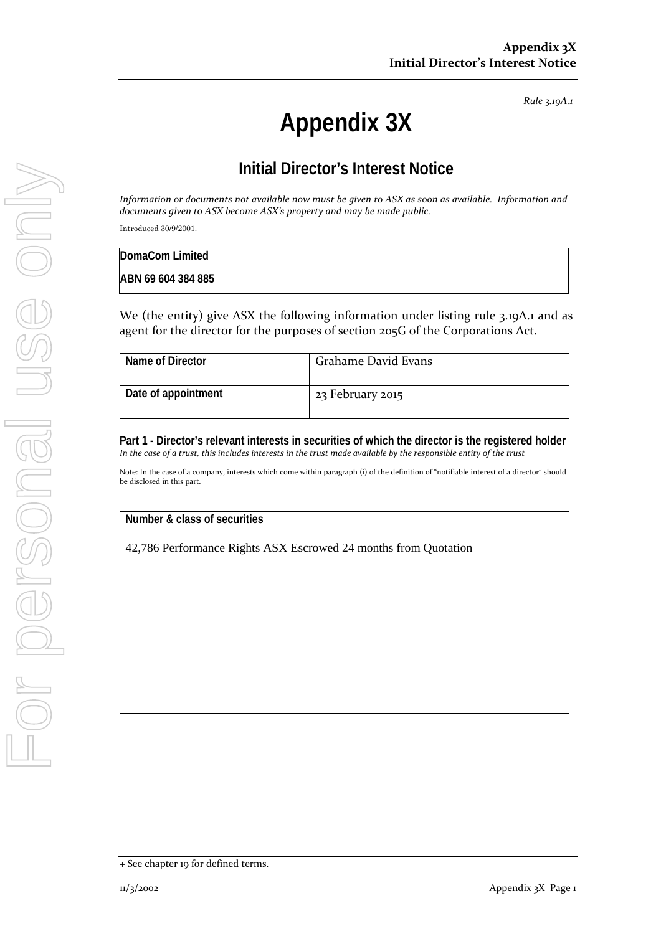*Rule 3.19A.1*

## **Appendix 3X**

## **Initial Director's Interest Notice**

*Information or documents not available now must be given to ASX as soon as available. Information and documents given to ASX become ASX's property and may be made public.*

Introduced 30/9/2001.

| DomaCom Limited    |  |
|--------------------|--|
| ABN 69 604 384 885 |  |

We (the entity) give ASX the following information under listing rule 3.19A.1 and as agent for the director for the purposes of section 205G of the Corporations Act.

| Name of Director    | Grahame David Evans |
|---------------------|---------------------|
| Date of appointment | 23 February 2015    |

**Part 1 - Director's relevant interests in securities of which the director is the registered holder** *In the case of a trust, this includes interests in the trust made available by the responsible entity of the trust*

Note: In the case of a company, interests which come within paragraph (i) of the definition of "notifiable interest of a director" should be disclosed in this part.

**Number & class of securities**

42,786 Performance Rights ASX Escrowed 24 months from Quotation

<sup>+</sup> See chapter 19 for defined terms.